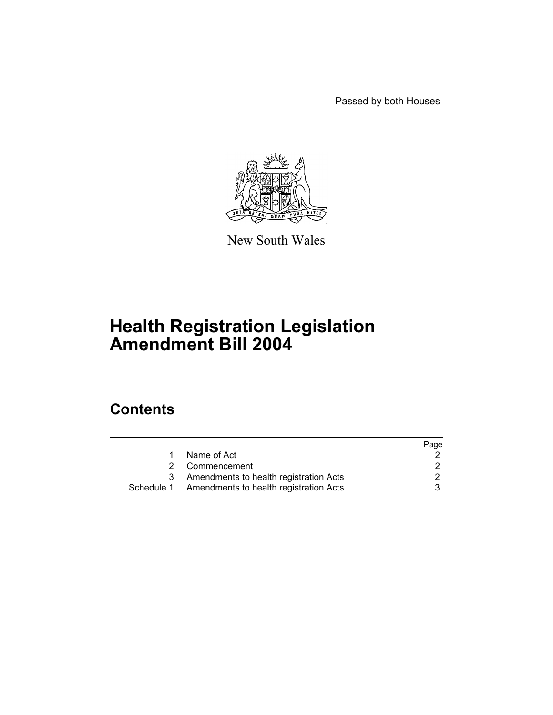Passed by both Houses



New South Wales

# **Health Registration Legislation Amendment Bill 2004**

# **Contents**

|                                                   | Page |
|---------------------------------------------------|------|
| Name of Act                                       |      |
| 2 Commencement                                    |      |
| Amendments to health registration Acts            |      |
| Schedule 1 Amendments to health registration Acts |      |
|                                                   |      |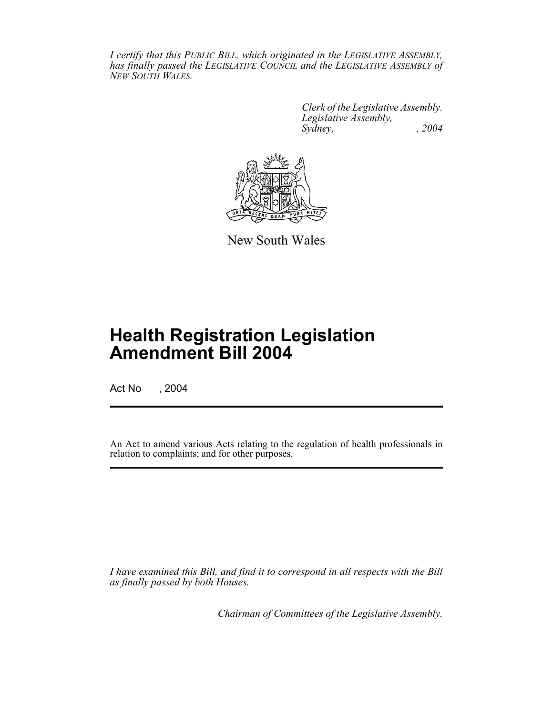*I certify that this PUBLIC BILL, which originated in the LEGISLATIVE ASSEMBLY, has finally passed the LEGISLATIVE COUNCIL and the LEGISLATIVE ASSEMBLY of NEW SOUTH WALES.*

> *Clerk of the Legislative Assembly. Legislative Assembly, Sydney, , 2004*



New South Wales

# **Health Registration Legislation Amendment Bill 2004**

Act No , 2004

An Act to amend various Acts relating to the regulation of health professionals in relation to complaints; and for other purposes.

*I have examined this Bill, and find it to correspond in all respects with the Bill as finally passed by both Houses.*

*Chairman of Committees of the Legislative Assembly.*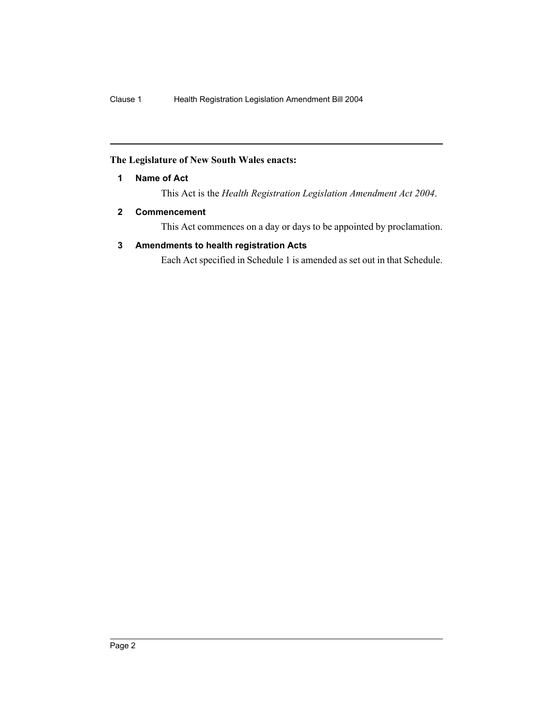# **The Legislature of New South Wales enacts:**

**1 Name of Act**

This Act is the *Health Registration Legislation Amendment Act 2004*.

# **2 Commencement**

This Act commences on a day or days to be appointed by proclamation.

# **3 Amendments to health registration Acts**

Each Act specified in Schedule 1 is amended as set out in that Schedule.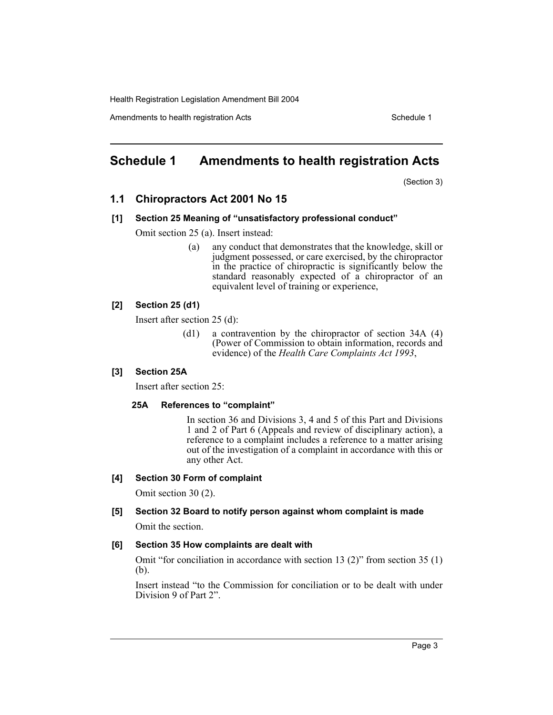Amendments to health registration Acts **Schedule 1** Schedule 1

# **Schedule 1 Amendments to health registration Acts**

(Section 3)

# **1.1 Chiropractors Act 2001 No 15**

#### **[1] Section 25 Meaning of "unsatisfactory professional conduct"**

Omit section 25 (a). Insert instead:

(a) any conduct that demonstrates that the knowledge, skill or judgment possessed, or care exercised, by the chiropractor in the practice of chiropractic is significantly below the standard reasonably expected of a chiropractor of an equivalent level of training or experience,

#### **[2] Section 25 (d1)**

Insert after section 25 (d):

(d1) a contravention by the chiropractor of section 34A (4) (Power of Commission to obtain information, records and evidence) of the *Health Care Complaints Act 1993*,

# **[3] Section 25A**

Insert after section 25:

#### **25A References to "complaint"**

In section 36 and Divisions 3, 4 and 5 of this Part and Divisions 1 and 2 of Part 6 (Appeals and review of disciplinary action), a reference to a complaint includes a reference to a matter arising out of the investigation of a complaint in accordance with this or any other Act.

#### **[4] Section 30 Form of complaint**

Omit section 30 (2).

#### **[5] Section 32 Board to notify person against whom complaint is made**

Omit the section.

#### **[6] Section 35 How complaints are dealt with**

Omit "for conciliation in accordance with section 13 (2)" from section 35 (1) (b).

Insert instead "to the Commission for conciliation or to be dealt with under Division 9 of Part 2".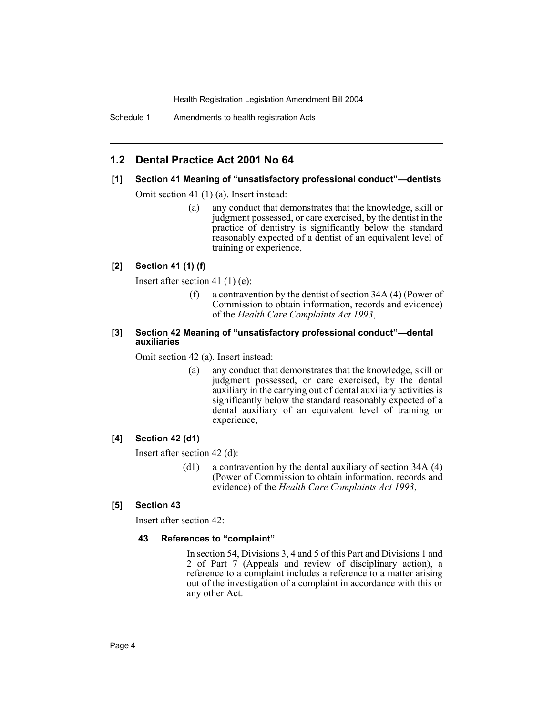Schedule 1 Amendments to health registration Acts

# **1.2 Dental Practice Act 2001 No 64**

#### **[1] Section 41 Meaning of "unsatisfactory professional conduct"—dentists**

Omit section 41 (1) (a). Insert instead:

(a) any conduct that demonstrates that the knowledge, skill or judgment possessed, or care exercised, by the dentist in the practice of dentistry is significantly below the standard reasonably expected of a dentist of an equivalent level of training or experience,

#### **[2] Section 41 (1) (f)**

Insert after section 41 (1) (e):

(f) a contravention by the dentist of section 34A (4) (Power of Commission to obtain information, records and evidence) of the *Health Care Complaints Act 1993*,

#### **[3] Section 42 Meaning of "unsatisfactory professional conduct"—dental auxiliaries**

Omit section 42 (a). Insert instead:

(a) any conduct that demonstrates that the knowledge, skill or judgment possessed, or care exercised, by the dental auxiliary in the carrying out of dental auxiliary activities is significantly below the standard reasonably expected of a dental auxiliary of an equivalent level of training or experience,

#### **[4] Section 42 (d1)**

Insert after section 42 (d):

(d1) a contravention by the dental auxiliary of section 34A (4) (Power of Commission to obtain information, records and evidence) of the *Health Care Complaints Act 1993*,

#### **[5] Section 43**

Insert after section 42:

#### **43 References to "complaint"**

In section 54, Divisions 3, 4 and 5 of this Part and Divisions 1 and 2 of Part 7 (Appeals and review of disciplinary action), a reference to a complaint includes a reference to a matter arising out of the investigation of a complaint in accordance with this or any other Act.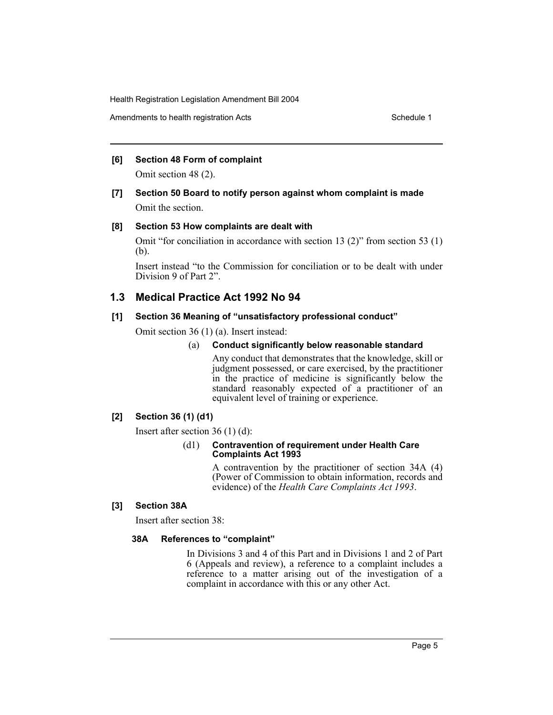Amendments to health registration Acts **Schedule 1** Schedule 1

#### **[6] Section 48 Form of complaint**

Omit section 48 (2).

# **[7] Section 50 Board to notify person against whom complaint is made** Omit the section.

#### **[8] Section 53 How complaints are dealt with**

Omit "for conciliation in accordance with section 13 (2)" from section 53 (1) (b).

Insert instead "to the Commission for conciliation or to be dealt with under Division 9 of Part 2".

# **1.3 Medical Practice Act 1992 No 94**

#### **[1] Section 36 Meaning of "unsatisfactory professional conduct"**

Omit section 36 (1) (a). Insert instead:

#### (a) **Conduct significantly below reasonable standard**

Any conduct that demonstrates that the knowledge, skill or judgment possessed, or care exercised, by the practitioner in the practice of medicine is significantly below the standard reasonably expected of a practitioner of an equivalent level of training or experience.

#### **[2] Section 36 (1) (d1)**

Insert after section 36 (1) (d):

#### (d1) **Contravention of requirement under Health Care Complaints Act 1993**

A contravention by the practitioner of section 34A (4) (Power of Commission to obtain information, records and evidence) of the *Health Care Complaints Act 1993*.

# **[3] Section 38A**

Insert after section 38:

#### **38A References to "complaint"**

In Divisions 3 and 4 of this Part and in Divisions 1 and 2 of Part 6 (Appeals and review), a reference to a complaint includes a reference to a matter arising out of the investigation of a complaint in accordance with this or any other Act.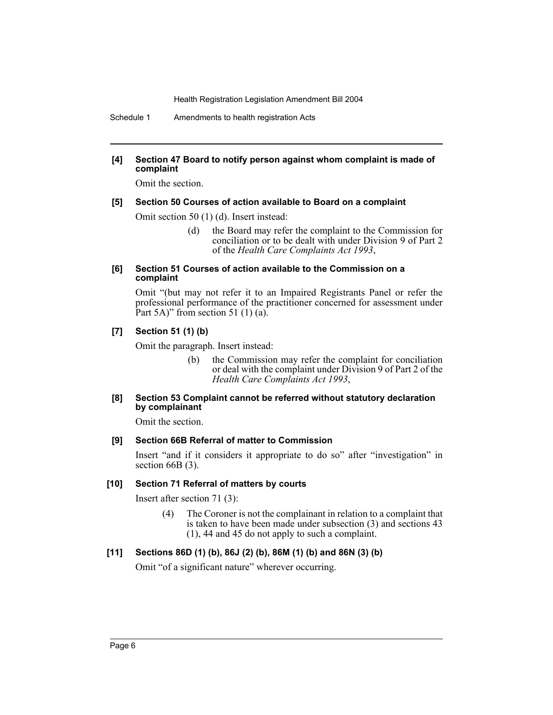Schedule 1 Amendments to health registration Acts

### **[4] Section 47 Board to notify person against whom complaint is made of complaint**

Omit the section.

#### **[5] Section 50 Courses of action available to Board on a complaint**

Omit section 50 (1) (d). Insert instead:

(d) the Board may refer the complaint to the Commission for conciliation or to be dealt with under Division 9 of Part 2 of the *Health Care Complaints Act 1993*,

#### **[6] Section 51 Courses of action available to the Commission on a complaint**

Omit "(but may not refer it to an Impaired Registrants Panel or refer the professional performance of the practitioner concerned for assessment under Part 5A)" from section 51 (1) (a).

#### **[7] Section 51 (1) (b)**

Omit the paragraph. Insert instead:

(b) the Commission may refer the complaint for conciliation or deal with the complaint under Division 9 of Part 2 of the *Health Care Complaints Act 1993*,

#### **[8] Section 53 Complaint cannot be referred without statutory declaration by complainant**

Omit the section.

#### **[9] Section 66B Referral of matter to Commission**

Insert "and if it considers it appropriate to do so" after "investigation" in section 66B (3).

#### **[10] Section 71 Referral of matters by courts**

Insert after section 71 (3):

(4) The Coroner is not the complainant in relation to a complaint that is taken to have been made under subsection (3) and sections 43 (1), 44 and 45 do not apply to such a complaint.

# **[11] Sections 86D (1) (b), 86J (2) (b), 86M (1) (b) and 86N (3) (b)**

Omit "of a significant nature" wherever occurring.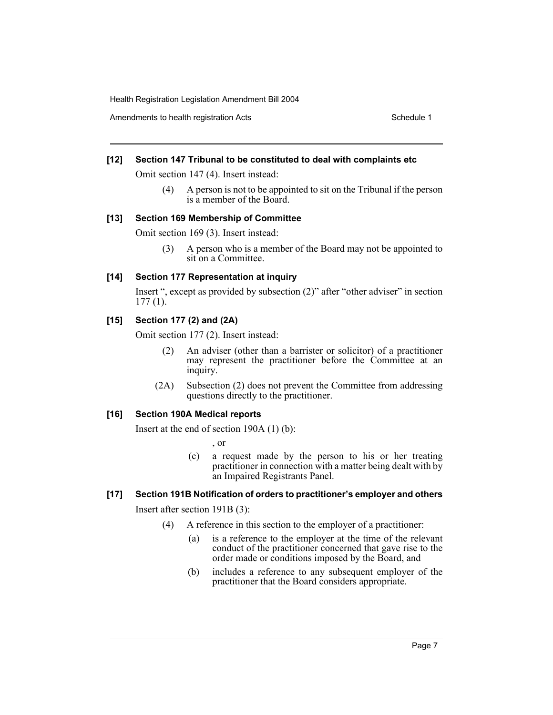Amendments to health registration Acts **Schedule 1** Schedule 1

#### **[12] Section 147 Tribunal to be constituted to deal with complaints etc**

Omit section 147 (4). Insert instead:

(4) A person is not to be appointed to sit on the Tribunal if the person is a member of the Board.

#### **[13] Section 169 Membership of Committee**

Omit section 169 (3). Insert instead:

(3) A person who is a member of the Board may not be appointed to sit on a Committee.

#### **[14] Section 177 Representation at inquiry**

Insert ", except as provided by subsection (2)" after "other adviser" in section 177 (1).

#### **[15] Section 177 (2) and (2A)**

Omit section 177 (2). Insert instead:

- (2) An adviser (other than a barrister or solicitor) of a practitioner may represent the practitioner before the Committee at an inquiry.
- (2A) Subsection (2) does not prevent the Committee from addressing questions directly to the practitioner.

#### **[16] Section 190A Medical reports**

Insert at the end of section 190A (1) (b):

, or

(c) a request made by the person to his or her treating practitioner in connection with a matter being dealt with by an Impaired Registrants Panel.

# **[17] Section 191B Notification of orders to practitioner's employer and others**

Insert after section 191B (3):

- (4) A reference in this section to the employer of a practitioner:
	- (a) is a reference to the employer at the time of the relevant conduct of the practitioner concerned that gave rise to the order made or conditions imposed by the Board, and
	- (b) includes a reference to any subsequent employer of the practitioner that the Board considers appropriate.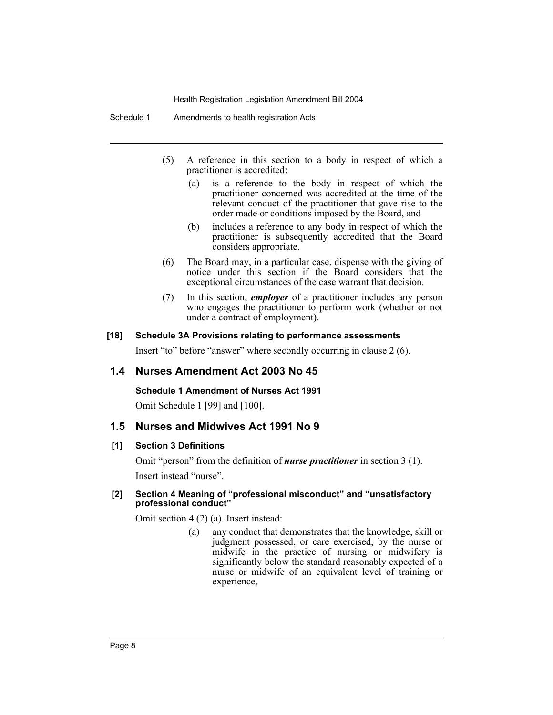Schedule 1 Amendments to health registration Acts

- (5) A reference in this section to a body in respect of which a practitioner is accredited:
	- (a) is a reference to the body in respect of which the practitioner concerned was accredited at the time of the relevant conduct of the practitioner that gave rise to the order made or conditions imposed by the Board, and
	- (b) includes a reference to any body in respect of which the practitioner is subsequently accredited that the Board considers appropriate.
- (6) The Board may, in a particular case, dispense with the giving of notice under this section if the Board considers that the exceptional circumstances of the case warrant that decision.
- (7) In this section, *employer* of a practitioner includes any person who engages the practitioner to perform work (whether or not under a contract of employment).

#### **[18] Schedule 3A Provisions relating to performance assessments**

Insert "to" before "answer" where secondly occurring in clause 2 (6).

# **1.4 Nurses Amendment Act 2003 No 45**

**Schedule 1 Amendment of Nurses Act 1991**

Omit Schedule 1 [99] and [100].

# **1.5 Nurses and Midwives Act 1991 No 9**

#### **[1] Section 3 Definitions**

Omit "person" from the definition of *nurse practitioner* in section 3 (1). Insert instead "nurse".

#### **[2] Section 4 Meaning of "professional misconduct" and "unsatisfactory professional conduct"**

Omit section 4 (2) (a). Insert instead:

(a) any conduct that demonstrates that the knowledge, skill or judgment possessed, or care exercised, by the nurse or midwife in the practice of nursing or midwifery is significantly below the standard reasonably expected of a nurse or midwife of an equivalent level of training or experience,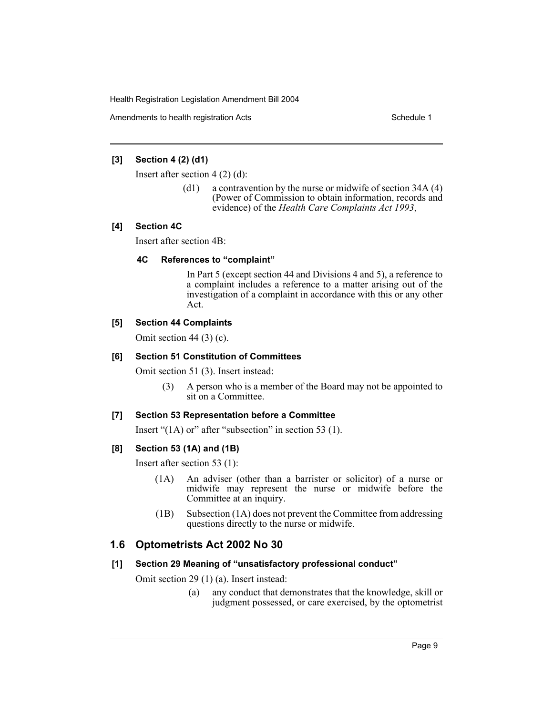Amendments to health registration Acts **Schedule 1** Schedule 1

### **[3] Section 4 (2) (d1)**

Insert after section 4 (2) (d):

(d1) a contravention by the nurse or midwife of section 34A (4) (Power of Commission to obtain information, records and evidence) of the *Health Care Complaints Act 1993*,

# **[4] Section 4C**

Insert after section 4B:

#### **4C References to "complaint"**

In Part 5 (except section 44 and Divisions 4 and 5), a reference to a complaint includes a reference to a matter arising out of the investigation of a complaint in accordance with this or any other Act.

# **[5] Section 44 Complaints**

Omit section 44 (3) (c).

#### **[6] Section 51 Constitution of Committees**

Omit section 51 (3). Insert instead:

(3) A person who is a member of the Board may not be appointed to sit on a Committee.

#### **[7] Section 53 Representation before a Committee**

Insert "(1A) or" after "subsection" in section 53 (1).

# **[8] Section 53 (1A) and (1B)**

Insert after section 53 (1):

- (1A) An adviser (other than a barrister or solicitor) of a nurse or midwife may represent the nurse or midwife before the Committee at an inquiry.
- (1B) Subsection (1A) does not prevent the Committee from addressing questions directly to the nurse or midwife.

# **1.6 Optometrists Act 2002 No 30**

#### **[1] Section 29 Meaning of "unsatisfactory professional conduct"**

- Omit section 29 (1) (a). Insert instead:
	- (a) any conduct that demonstrates that the knowledge, skill or judgment possessed, or care exercised, by the optometrist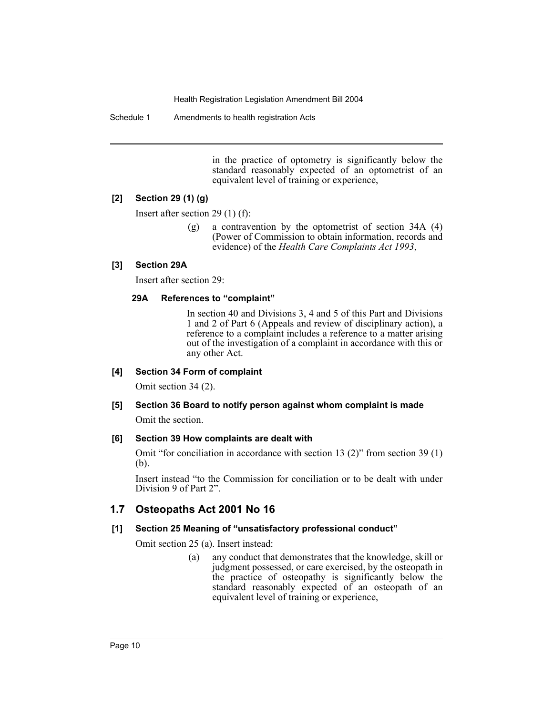Schedule 1 Amendments to health registration Acts

in the practice of optometry is significantly below the standard reasonably expected of an optometrist of an equivalent level of training or experience,

#### **[2] Section 29 (1) (g)**

Insert after section 29 (1) (f):

(g) a contravention by the optometrist of section 34A (4) (Power of Commission to obtain information, records and evidence) of the *Health Care Complaints Act 1993*,

#### **[3] Section 29A**

Insert after section 29:

#### **29A References to "complaint"**

In section 40 and Divisions 3, 4 and 5 of this Part and Divisions 1 and 2 of Part 6 (Appeals and review of disciplinary action), a reference to a complaint includes a reference to a matter arising out of the investigation of a complaint in accordance with this or any other Act.

#### **[4] Section 34 Form of complaint**

Omit section 34 (2).

# **[5] Section 36 Board to notify person against whom complaint is made** Omit the section.

#### **[6] Section 39 How complaints are dealt with**

Omit "for conciliation in accordance with section 13 (2)" from section 39 (1) (b).

Insert instead "to the Commission for conciliation or to be dealt with under Division 9 of Part 2".

# **1.7 Osteopaths Act 2001 No 16**

# **[1] Section 25 Meaning of "unsatisfactory professional conduct"**

Omit section 25 (a). Insert instead:

(a) any conduct that demonstrates that the knowledge, skill or judgment possessed, or care exercised, by the osteopath in the practice of osteopathy is significantly below the standard reasonably expected of an osteopath of an equivalent level of training or experience,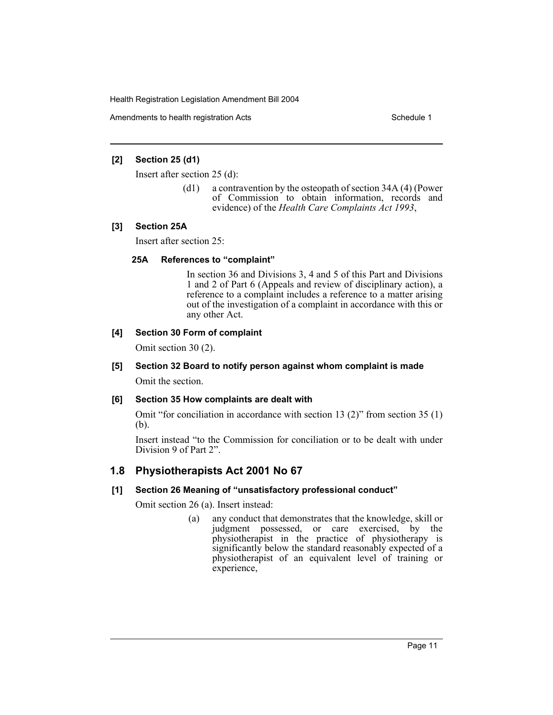Amendments to health registration Acts **Schedule 1** Schedule 1

# **[2] Section 25 (d1)**

Insert after section 25 (d):

(d1) a contravention by the osteopath of section 34A (4) (Power of Commission to obtain information, records and evidence) of the *Health Care Complaints Act 1993*,

#### **[3] Section 25A**

Insert after section 25:

#### **25A References to "complaint"**

In section 36 and Divisions 3, 4 and 5 of this Part and Divisions 1 and 2 of Part 6 (Appeals and review of disciplinary action), a reference to a complaint includes a reference to a matter arising out of the investigation of a complaint in accordance with this or any other Act.

# **[4] Section 30 Form of complaint**

Omit section 30 (2).

# **[5] Section 32 Board to notify person against whom complaint is made**

Omit the section.

# **[6] Section 35 How complaints are dealt with**

Omit "for conciliation in accordance with section 13 (2)" from section 35 (1) (b).

Insert instead "to the Commission for conciliation or to be dealt with under Division 9 of Part 2".

# **1.8 Physiotherapists Act 2001 No 67**

# **[1] Section 26 Meaning of "unsatisfactory professional conduct"**

Omit section 26 (a). Insert instead:

(a) any conduct that demonstrates that the knowledge, skill or judgment possessed, or care exercised, by the physiotherapist in the practice of physiotherapy is significantly below the standard reasonably expected of a physiotherapist of an equivalent level of training or experience,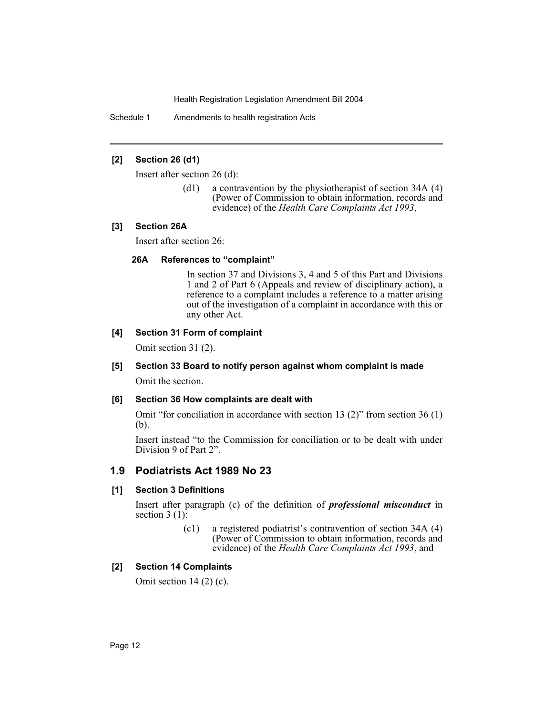Schedule 1 Amendments to health registration Acts

#### **[2] Section 26 (d1)**

Insert after section 26 (d):

(d1) a contravention by the physiotherapist of section 34A (4) (Power of Commission to obtain information, records and evidence) of the *Health Care Complaints Act 1993*,

#### **[3] Section 26A**

Insert after section 26:

#### **26A References to "complaint"**

In section 37 and Divisions 3, 4 and 5 of this Part and Divisions 1 and 2 of Part 6 (Appeals and review of disciplinary action), a reference to a complaint includes a reference to a matter arising out of the investigation of a complaint in accordance with this or any other Act.

#### **[4] Section 31 Form of complaint**

Omit section 31 (2).

# **[5] Section 33 Board to notify person against whom complaint is made**

Omit the section.

# **[6] Section 36 How complaints are dealt with**

Omit "for conciliation in accordance with section 13 (2)" from section 36 (1) (b).

Insert instead "to the Commission for conciliation or to be dealt with under Division 9 of Part 2".

# **1.9 Podiatrists Act 1989 No 23**

# **[1] Section 3 Definitions**

Insert after paragraph (c) of the definition of *professional misconduct* in section  $3(1)$ :

> (c1) a registered podiatrist's contravention of section 34A (4) (Power of Commission to obtain information, records and evidence) of the *Health Care Complaints Act 1993*, and

# **[2] Section 14 Complaints**

Omit section 14 (2) (c).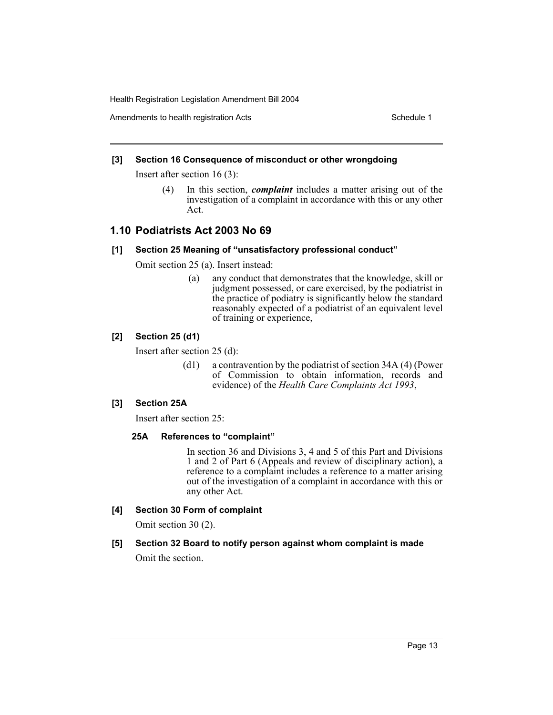Amendments to health registration Acts **Schedule 1** Schedule 1

# **[3] Section 16 Consequence of misconduct or other wrongdoing**

Insert after section 16 (3):

(4) In this section, *complaint* includes a matter arising out of the investigation of a complaint in accordance with this or any other Act.

# **1.10 Podiatrists Act 2003 No 69**

#### **[1] Section 25 Meaning of "unsatisfactory professional conduct"**

Omit section 25 (a). Insert instead:

(a) any conduct that demonstrates that the knowledge, skill or judgment possessed, or care exercised, by the podiatrist in the practice of podiatry is significantly below the standard reasonably expected of a podiatrist of an equivalent level of training or experience,

# **[2] Section 25 (d1)**

Insert after section 25 (d):

(d1) a contravention by the podiatrist of section 34A (4) (Power of Commission to obtain information, records and evidence) of the *Health Care Complaints Act 1993*,

# **[3] Section 25A**

Insert after section 25:

# **25A References to "complaint"**

In section 36 and Divisions 3, 4 and 5 of this Part and Divisions 1 and 2 of Part 6 (Appeals and review of disciplinary action), a reference to a complaint includes a reference to a matter arising out of the investigation of a complaint in accordance with this or any other Act.

# **[4] Section 30 Form of complaint**

Omit section 30 (2).

# **[5] Section 32 Board to notify person against whom complaint is made**

Omit the section.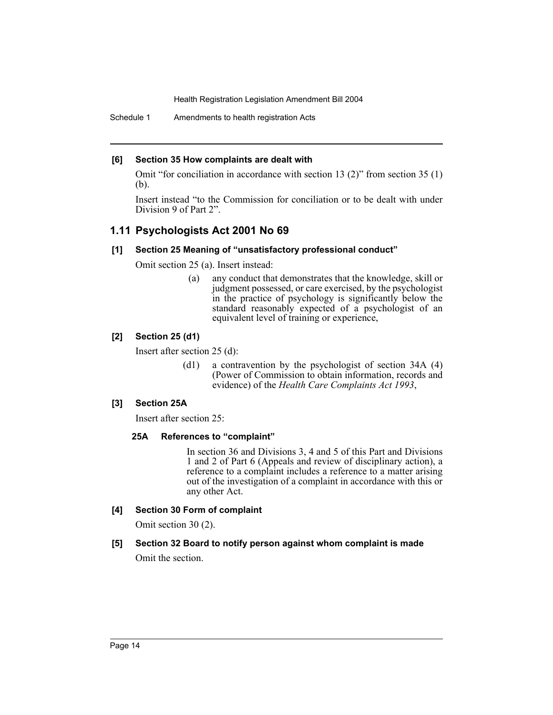Schedule 1 Amendments to health registration Acts

#### **[6] Section 35 How complaints are dealt with**

Omit "for conciliation in accordance with section 13 (2)" from section 35 (1) (b).

Insert instead "to the Commission for conciliation or to be dealt with under Division 9 of Part 2".

# **1.11 Psychologists Act 2001 No 69**

#### **[1] Section 25 Meaning of "unsatisfactory professional conduct"**

Omit section 25 (a). Insert instead:

(a) any conduct that demonstrates that the knowledge, skill or judgment possessed, or care exercised, by the psychologist in the practice of psychology is significantly below the standard reasonably expected of a psychologist of an equivalent level of training or experience,

#### **[2] Section 25 (d1)**

Insert after section 25 (d):

(d1) a contravention by the psychologist of section 34A (4) (Power of Commission to obtain information, records and evidence) of the *Health Care Complaints Act 1993*,

### **[3] Section 25A**

Insert after section 25:

# **25A References to "complaint"**

In section 36 and Divisions 3, 4 and 5 of this Part and Divisions 1 and 2 of Part 6 (Appeals and review of disciplinary action), a reference to a complaint includes a reference to a matter arising out of the investigation of a complaint in accordance with this or any other Act.

# **[4] Section 30 Form of complaint**

Omit section 30 (2).

# **[5] Section 32 Board to notify person against whom complaint is made**

Omit the section.